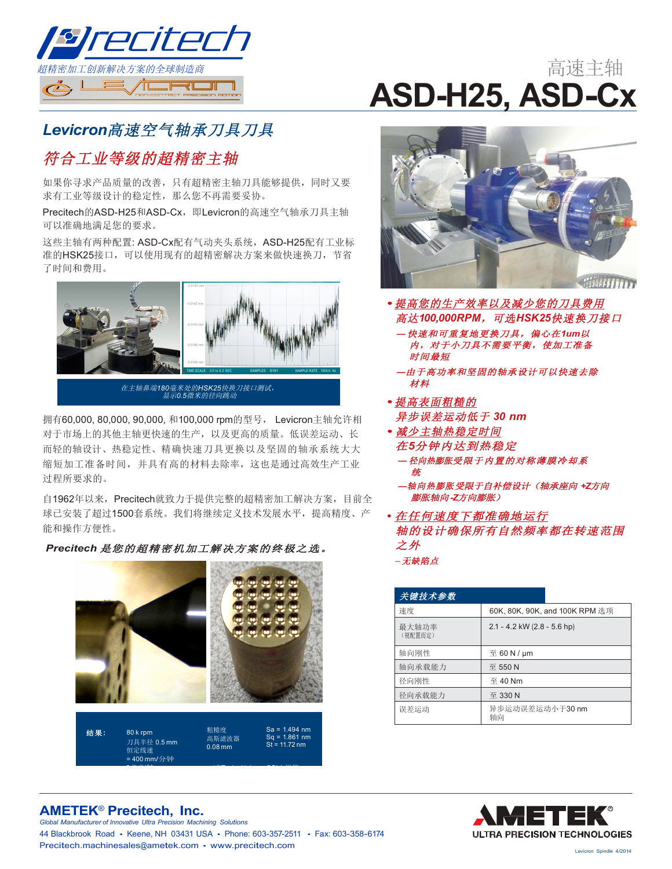

# 高速主轴 **ASD-H25, ASD-Cx**

## Levicron高速空气轴承刀具刀具

### 符合工业等级的超精密主轴

如果你寻求产品质量的改善, 只有超精密主轴刀具能够提供, 同时又要 求有工业等级设计的稳定性, 那么您不再需要妥协。

Precitech的ASD-H25和ASD-Cx, 即Levicron的高速空气轴承刀具主轴 可以准确地满足您的要求。

这些主轴有两种配置: ASD-Cx配有气动夹头系统, ASD-H25配有工业标 准的HSK25接口, 可以使用现有的超精密解决方案来做快速换刀, 节省 了时间和费用。



在主轴鼻端180毫米处的HSK25快换刀接口测试,<br>显示0.5微米的径向跳动

拥有60,000, 80,000, 90,000, 和100,000 rpm的型号, Levicron主轴允许相 对于市场上的其他主轴更快速的生产,以及更高的质量。低误差运动、长 而轻的轴设计、热稳定性、精确快速刀具更换以及坚固的轴承系统大大 缩短加工准备时间, 并具有高的材料夫除率, 这也是通过高效生产工业 过程所要求的。

自1962年以来, Precitech就致力于提供完整的超精密加工解决方案, 目前全 球已安装了超过1500套系统。我们将继续定义技术发展水平,提高精度、产 能和操作方便性。

Precitech 是您的超精密机加工解决方案的终极之选。





- 提高您的生产效率以及减少您的刀具费用 高达100,000RPM, 可选HSK25快速换刀接口 - 快速和可重复地更换刀具,偏心在1um以
	- 内,对于小刀具不需要平衡,使加工准备 时间最短
	- 一由于高功率和坚固的轴承设计可以快速去除 材料
- 提高表面粗糙的
- 异步误差运动低于 30 nm
- 减少主轴热稳定时间 在5分钟内达到热稳定 — 径向热膨胀受限于内置的对称薄膜冷却系
	- ·轴向热膨胀受限于自补偿设计(轴承座向 +Z方向 膨胀轴向-Z方向膨胀)
- 在任何速度下都准确地运行 轴的设计确保所有自然频率都在转速范围 之外 -无缺陷点

| 关键技术参数           |                                   |  |  |  |  |
|------------------|-----------------------------------|--|--|--|--|
| 速度               | 60K, 80K, 90K, and 100K RPM 选项    |  |  |  |  |
| 最大轴功率<br>(视配置而定) | $2.1 - 4.2$ kW (2.8 - 5.6 hp)     |  |  |  |  |
| 轴向刚性             | $\overline{\mathrm{E}}$ 60 N / µm |  |  |  |  |
| 轴向承载能力           | 至 550 N                           |  |  |  |  |
| 径向刚性             | $\overline{\oplus}$ 40 Nm         |  |  |  |  |
| 径向承载能力           | 至 330 N                           |  |  |  |  |
| 误差运动             | 异步运动误差运动小于30 nm<br>轴向             |  |  |  |  |



#### **AMETEK<sup>®</sup> Precitech, Inc.**

Global Manufacturer of Innovative Ultra Precision Machining Solutions 44 Blackbrook Road • Keene, NH 03431 USA • Phone: 603-357-2511 • Fax: 603-358-6174 Precitech.machinesales@ametek.com • www.precitech.com